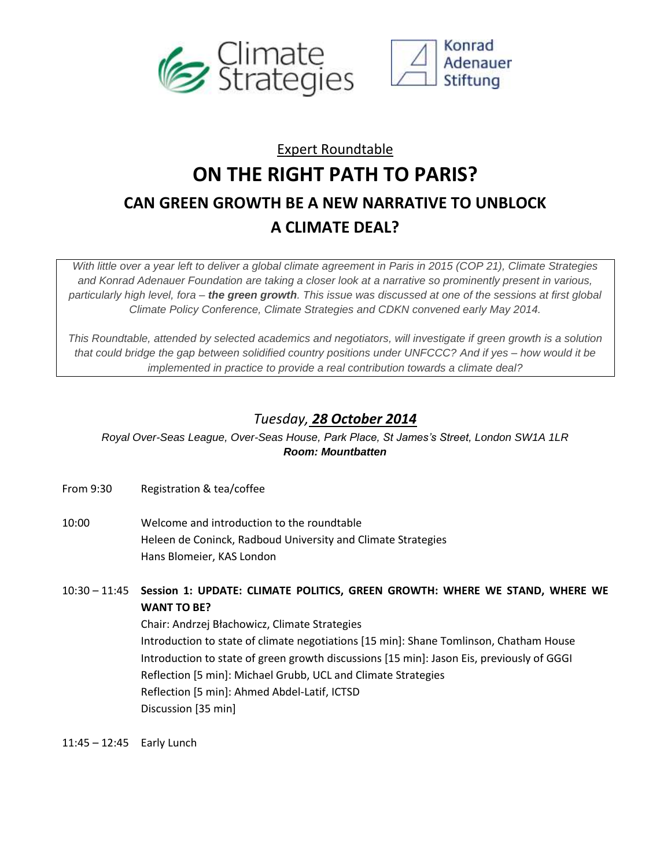



## Expert Roundtable **ON THE RIGHT PATH TO PARIS? CAN GREEN GROWTH BE A NEW NARRATIVE TO UNBLOCK A CLIMATE DEAL?**

*With little over a year left to deliver a global climate agreement in Paris in 2015 (COP 21), Climate Strategies and Konrad Adenauer Foundation are taking a closer look at a narrative so prominently present in various, particularly high level, fora – the green growth. This issue was discussed at one of the sessions at first global Climate Policy Conference, Climate Strategies and CDKN convened early May 2014.*

*This Roundtable, attended by selected academics and negotiators, will investigate if green growth is a solution that could bridge the gap between solidified country positions under UNFCCC? And if yes – how would it be implemented in practice to provide a real contribution towards a climate deal?*

## *Tuesday, 28 October 2014*

*Royal Over-Seas League, Over-Seas House, Park Place, St James's Street, London SW1A 1LR Room: Mountbatten*

From 9:30 Registration & tea/coffee

- 10:00 Welcome and introduction to the roundtable Heleen de Coninck, Radboud University and Climate Strategies Hans Blomeier, KAS London
- 10:30 11:45 **Session 1: UPDATE: CLIMATE POLITICS, GREEN GROWTH: WHERE WE STAND, WHERE WE WANT TO BE?** Chair: Andrzej Błachowicz, Climate Strategies Introduction to state of climate negotiations [15 min]: Shane Tomlinson, Chatham House Introduction to state of green growth discussions [15 min]: Jason Eis, previously of GGGI Reflection [5 min]: Michael Grubb, UCL and Climate Strategies Reflection [5 min]: Ahmed Abdel-Latif, ICTSD Discussion [35 min]

11:45 – 12:45 Early Lunch